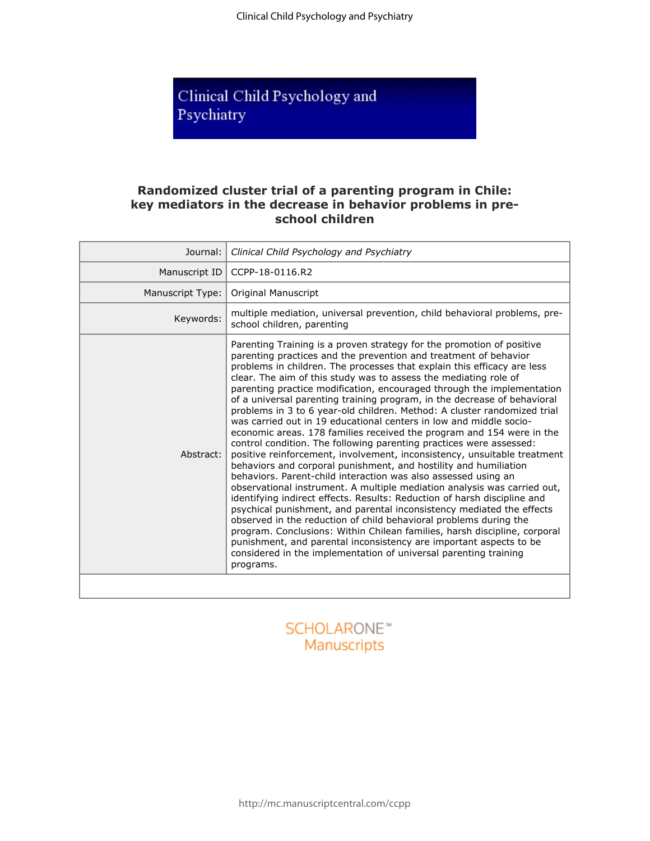Clinical Child Psychology and Psychiatry

# Clinical Child Psychology and Psychiatry

# **Randomized cluster trial of a parenting program in Chile: key mediators in the decrease in behavior problems in preschool children**

| Journal:         | Clinical Child Psychology and Psychiatry                                                                                                                                                                                                                                                                                                                                                                                                                                                                                                                                                                                                                                                                                                                                                                                                                                                                                                                                                                                                                                                                                                                                                                                                                                                                                                                                                                                                                                                                     |
|------------------|--------------------------------------------------------------------------------------------------------------------------------------------------------------------------------------------------------------------------------------------------------------------------------------------------------------------------------------------------------------------------------------------------------------------------------------------------------------------------------------------------------------------------------------------------------------------------------------------------------------------------------------------------------------------------------------------------------------------------------------------------------------------------------------------------------------------------------------------------------------------------------------------------------------------------------------------------------------------------------------------------------------------------------------------------------------------------------------------------------------------------------------------------------------------------------------------------------------------------------------------------------------------------------------------------------------------------------------------------------------------------------------------------------------------------------------------------------------------------------------------------------------|
| Manuscript ID    | CCPP-18-0116.R2                                                                                                                                                                                                                                                                                                                                                                                                                                                                                                                                                                                                                                                                                                                                                                                                                                                                                                                                                                                                                                                                                                                                                                                                                                                                                                                                                                                                                                                                                              |
| Manuscript Type: | Original Manuscript                                                                                                                                                                                                                                                                                                                                                                                                                                                                                                                                                                                                                                                                                                                                                                                                                                                                                                                                                                                                                                                                                                                                                                                                                                                                                                                                                                                                                                                                                          |
| Keywords:        | multiple mediation, universal prevention, child behavioral problems, pre-<br>school children, parenting                                                                                                                                                                                                                                                                                                                                                                                                                                                                                                                                                                                                                                                                                                                                                                                                                                                                                                                                                                                                                                                                                                                                                                                                                                                                                                                                                                                                      |
| Abstract:        | Parenting Training is a proven strategy for the promotion of positive<br>parenting practices and the prevention and treatment of behavior<br>problems in children. The processes that explain this efficacy are less<br>clear. The aim of this study was to assess the mediating role of<br>parenting practice modification, encouraged through the implementation<br>of a universal parenting training program, in the decrease of behavioral<br>problems in 3 to 6 year-old children. Method: A cluster randomized trial<br>was carried out in 19 educational centers in low and middle socio-<br>economic areas. 178 families received the program and 154 were in the<br>control condition. The following parenting practices were assessed:<br>positive reinforcement, involvement, inconsistency, unsuitable treatment<br>behaviors and corporal punishment, and hostility and humiliation<br>behaviors. Parent-child interaction was also assessed using an<br>observational instrument. A multiple mediation analysis was carried out,<br>identifying indirect effects. Results: Reduction of harsh discipline and<br>psychical punishment, and parental inconsistency mediated the effects<br>observed in the reduction of child behavioral problems during the<br>program. Conclusions: Within Chilean families, harsh discipline, corporal<br>punishment, and parental inconsistency are important aspects to be<br>considered in the implementation of universal parenting training<br>programs. |
|                  |                                                                                                                                                                                                                                                                                                                                                                                                                                                                                                                                                                                                                                                                                                                                                                                                                                                                                                                                                                                                                                                                                                                                                                                                                                                                                                                                                                                                                                                                                                              |

# **SCHOLARONE™** Manuscripts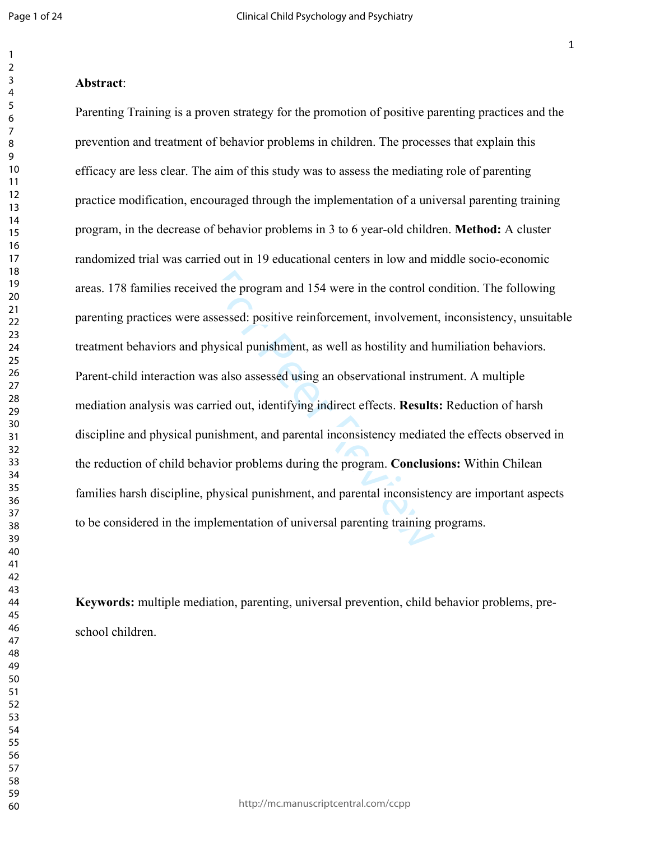#### **Abstract**:

ed the program and 154 were in the control consesses control consesses the positive reinforcement, involvement<br>hysical punishment, as well as hostility and h<br>as also assessed using an observational instruction<br>rried out, i Parenting Training is a proven strategy for the promotion of positive parenting practices and the prevention and treatment of behavior problems in children. The processes that explain this efficacy are less clear. The aim of this study was to assess the mediating role of parenting practice modification, encouraged through the implementation of a universal parenting training program, in the decrease of behavior problems in 3 to 6 year-old children. **Method:** A cluster randomized trial was carried out in 19 educational centers in low and middle socio-economic areas. 178 families received the program and 154 were in the control condition. The following parenting practices were assessed: positive reinforcement, involvement, inconsistency, unsuitable treatment behaviors and physical punishment, as well as hostility and humiliation behaviors. Parent-child interaction was also assessed using an observational instrument. A multiple mediation analysis was carried out, identifying indirect effects. **Results:** Reduction of harsh discipline and physical punishment, and parental inconsistency mediated the effects observed in the reduction of child behavior problems during the program. **Conclusions:** Within Chilean families harsh discipline, physical punishment, and parental inconsistency are important aspects to be considered in the implementation of universal parenting training programs.

**Keywords:** multiple mediation, parenting, universal prevention, child behavior problems, preschool children.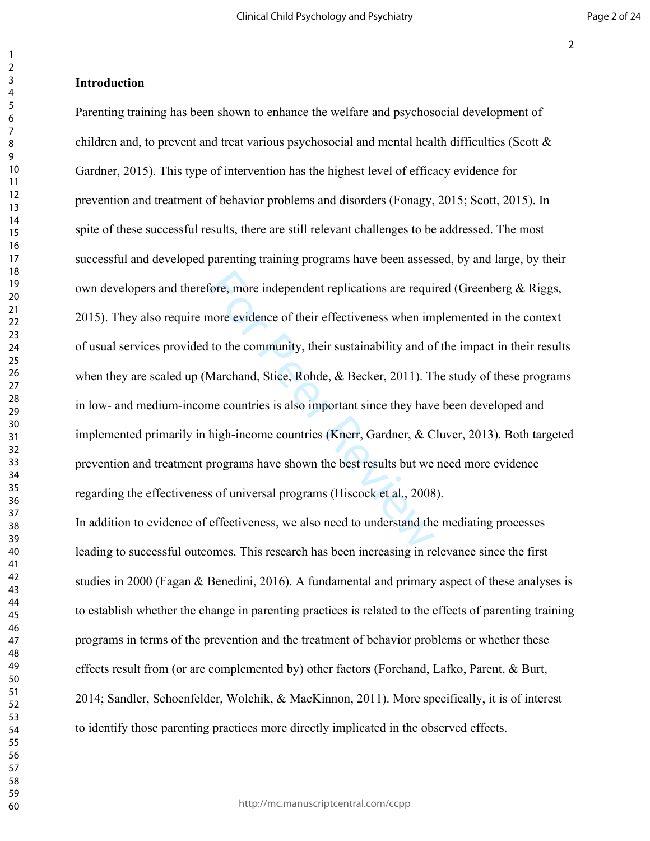#### **Introduction**

fore, more independent replications are requinore evidence of their effectiveness when im<br>to the community, their sustainability and of<br>Marchand, Stice, Rohde, & Becker, 2011). The<br>extended on Marchand, Stice, Rohde, & Bec Parenting training has been shown to enhance the welfare and psychosocial development of children and, to prevent and treat various psychosocial and mental health difficulties (Scott  $\&$ [Gardner, 2015](file:///C:/Users/Felix%20Cova/Dropbox/Escritorio%20UdeC/moderaci%C3%B3n/Parenting%20program%20mediation1.txt%23_ENREF_31)). This type of intervention has the highest level of efficacy evidence for prevention and treatment of behavior problems and disorders ([Fonagy, 2015;](file:///C:/Users/Felix%20Cova/Dropbox/Escritorio%20UdeC/moderaci%C3%B3n/Parenting%20program%20mediation1.txt%23_ENREF_10) [Scott, 2015\)](file:///C:/Users/Felix%20Cova/Dropbox/Escritorio%20UdeC/moderaci%C3%B3n/Parenting%20program%20mediation1.txt%23_ENREF_30). In spite of these successful results, there are still relevant challenges to be addressed. The most successful and developed parenting training programs have been assessed, by and large, by their own developers and therefore, more independent replications are required [\(Greenberg & Riggs,](file:///C:/Users/Felix%20Cova/Dropbox/Escritorio%20UdeC/moderaci%C3%B3n/Parenting%20program%20mediation1.txt%23_ENREF_17)  [2015\)](file:///C:/Users/Felix%20Cova/Dropbox/Escritorio%20UdeC/moderaci%C3%B3n/Parenting%20program%20mediation1.txt%23_ENREF_17). They also require more evidence of their effectiveness when implemented in the context of usual services provided to the community, their sustainability and of the impact in their results when they are scaled up (Marchand, Stice, Rohde, & Becker, 2011). The study of these programs in low- and medium-income countries is also important since they have been developed and implemented primarily in high-income countries [\(Knerr, Gardner, & Cluver, 2013](file:///C:/Users/Felix%20Cova/Dropbox/Escritorio%20UdeC/moderaci%C3%B3n/Parenting%20program%20mediation1.txt%23_ENREF_22)). Both targeted prevention and treatment programs have shown the best results but we need more evidence regarding the effectiveness of universal programs (Hiscock et al., 2008). In addition to evidence of effectiveness, we also need to understand the mediating processes

leading to successful outcomes. This research has been increasing in relevance since the first studies in 2000 ([Fagan & Benedini, 2016\)](file:///C:/Users/Felix%20Cova/Dropbox/Escritorio%20UdeC/moderaci%C3%B3n/Parenting%20program%20mediation1.txt%23_ENREF_8). A fundamental and primary aspect of these analyses is to establish whether the change in parenting practices is related to the effects of parenting training programs in terms of the prevention and the treatment of behavior problems or whether these effects result from (or are complemented by) other factors [\(Forehand, Lafko, Parent, & Burt,](file:///C:/Users/Felix%20Cova/Dropbox/Escritorio%20UdeC/moderaci%C3%B3n/Parenting%20program%20mediation1.txt%23_ENREF_11)  [2014;](file:///C:/Users/Felix%20Cova/Dropbox/Escritorio%20UdeC/moderaci%C3%B3n/Parenting%20program%20mediation1.txt%23_ENREF_11) [Sandler, Schoenfelder, Wolchik, & MacKinnon, 2011](file:///C:/Users/Felix%20Cova/Dropbox/Escritorio%20UdeC/moderaci%C3%B3n/Parenting%20program%20mediation1.txt%23_ENREF_29)). More specifically, it is of interest to identify those parenting practices more directly implicated in the observed effects.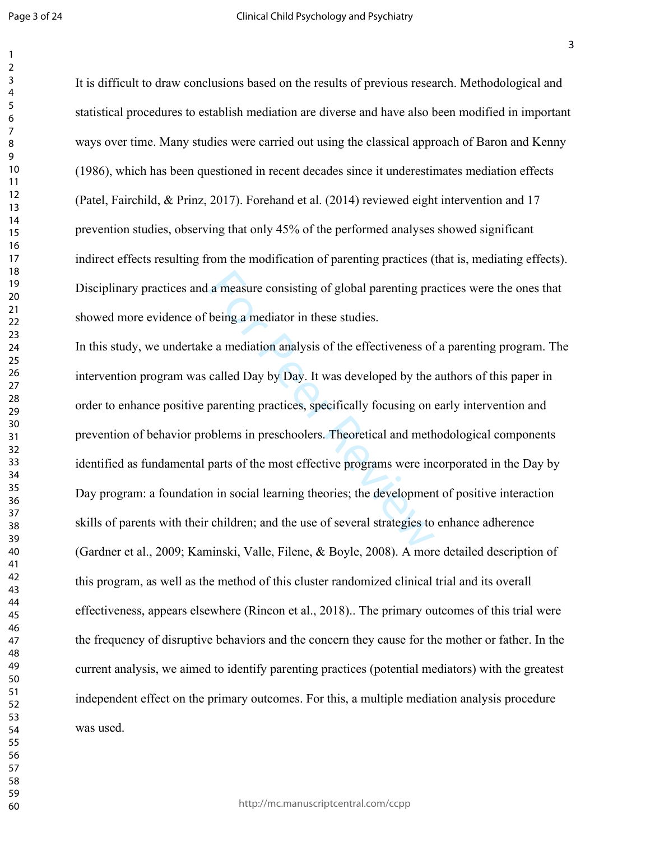Page 3 of 24

It is difficult to draw conclusions based on the results of previous research. Methodological and statistical procedures to establish mediation are diverse and have also been modified in important ways over time. Many studies were carried out using the classical approach of Baron and Kenny (1986), which has been questioned in recent decades since it underestimates mediation effects ([Patel, Fairchild, & Prinz, 2017\)](file:///C:/Users/Felix%20Cova/Dropbox/Escritorio%20UdeC/moderaci%C3%B3n/Parenting%20program%20mediation1.txt%23_ENREF_27). Forehand et al. (2014) reviewed eight intervention and 17 prevention studies, observing that only 45% of the performed analyses showed significant indirect effects resulting from the modification of parenting practices (that is, mediating effects). Disciplinary practices and a measure consisting of global parenting practices were the ones that showed more evidence of being a mediator in these studies.

a measure consisting of global parenting pra<br>being a mediator in these studies.<br>e a mediation analysis of the effectiveness of<br>called Day by Day. It was developed by the<br>parenting practices, specifically focusing on<br>bblem In this study, we undertake a mediation analysis of the effectiveness of a parenting program. The intervention program was called Day by Day. It was developed by the authors of this paper in order to enhance positive parenting practices, specifically focusing on early intervention and prevention of behavior problems in preschoolers. Theoretical and methodological components identified as fundamental parts of the most effective programs were incorporated in the Day by Day program: a foundation in social learning theories; the development of positive interaction skills of parents with their children; and the use of several strategies to enhance adherence ([Gardner et al., 2009;](file:///C:/Users/Felix%20Cova/Dropbox/Escritorio%20UdeC/moderaci%C3%B3n/Parenting%20program%20mediation1.txt%23_ENREF_15) [Kaminski, Valle, Filene, & Boyle, 2008\)](file:///C:/Users/Felix%20Cova/Dropbox/Escritorio%20UdeC/moderaci%C3%B3n/Parenting%20program%20mediation1.txt%23_ENREF_21). A more detailed description of this program, as well as the method of this cluster randomized clinical trial and its overall effectiveness, appears elsewhere (Rincon et al., 2018).. The primary outcomes of this trial were the frequency of disruptive behaviors and the concern they cause for the mother or father. In the current analysis, we aimed to identify parenting practices (potential mediators) with the greatest independent effect on the primary outcomes. For this, a multiple mediation analysis procedure was used.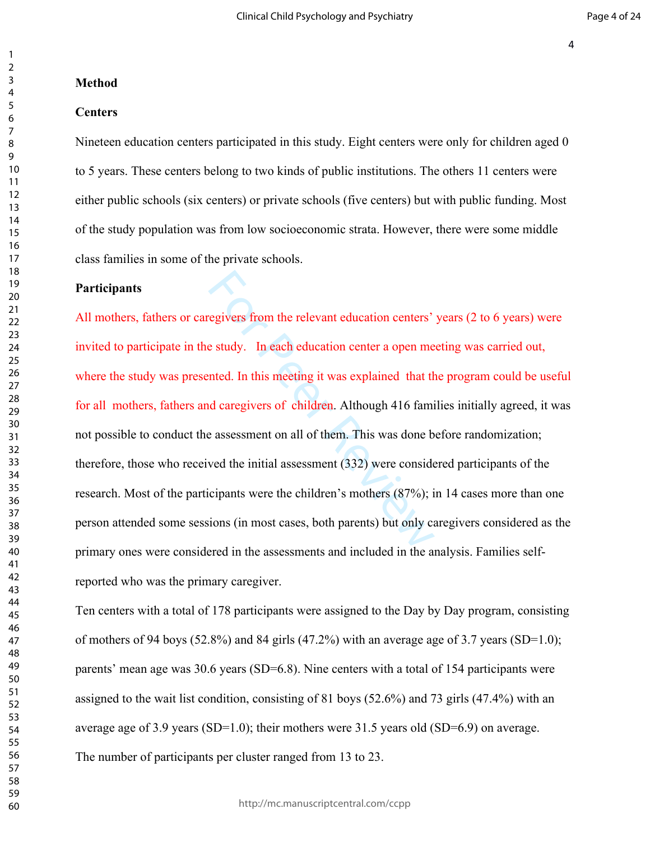#### **Method**

## **Centers**

Nineteen education centers participated in this study. Eight centers were only for children aged 0 to 5 years. These centers belong to two kinds of public institutions. The others 11 centers were either public schools (six centers) or private schools (five centers) but with public funding. Most of the study population was from low socioeconomic strata. However, there were some middle class families in some of the private schools.

## **Participants**

regivers from the relevant education centers'<br>
e study. In each education center a open me<br>
inted. In this meeting it was explained that the<br>
d caregivers of children. Although 416 fami<br>
e assessment on all of them. This w All mothers, fathers or caregivers from the relevant education centers' years (2 to 6 years) were invited to participate in the study. In each education center a open meeting was carried out, where the study was presented. In this meeting it was explained that the program could be useful for all mothers, fathers and caregivers of children. Although 416 families initially agreed, it was not possible to conduct the assessment on all of them. This was done before randomization; therefore, those who received the initial assessment (332) were considered participants of the research. Most of the participants were the children's mothers (87%); in 14 cases more than one person attended some sessions (in most cases, both parents) but only caregivers considered as the primary ones were considered in the assessments and included in the analysis. Families selfreported who was the primary caregiver.

Ten centers with a total of 178 participants were assigned to the Day by Day program, consisting of mothers of 94 boys (52.8%) and 84 girls (47.2%) with an average age of 3.7 years (SD=1.0); parents' mean age was 30.6 years (SD=6.8). Nine centers with a total of 154 participants were assigned to the wait list condition, consisting of 81 boys (52.6%) and 73 girls (47.4%) with an average age of 3.9 years (SD=1.0); their mothers were 31.5 years old (SD=6.9) on average. The number of participants per cluster ranged from 13 to 23.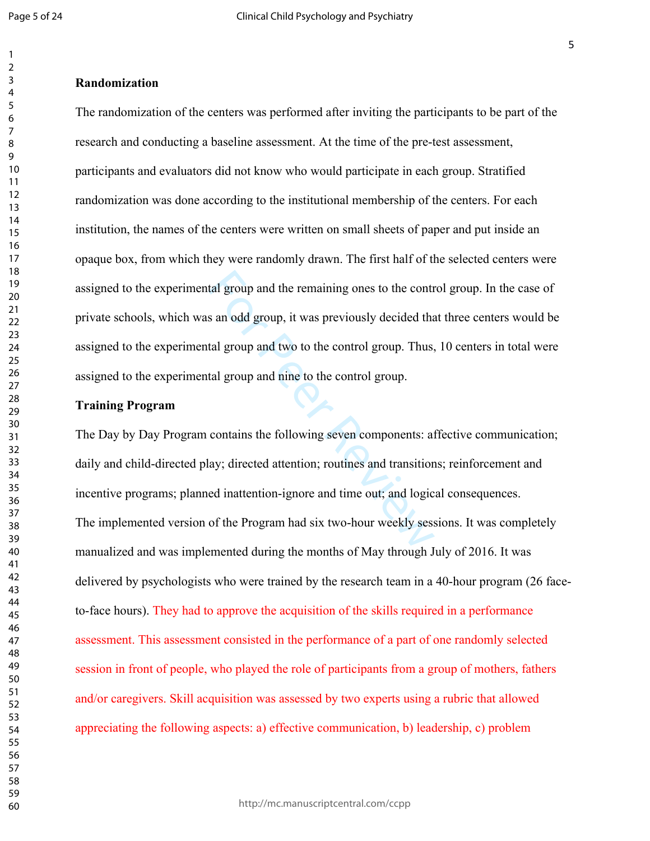#### **Randomization**

The randomization of the centers was performed after inviting the participants to be part of the research and conducting a baseline assessment. At the time of the pre-test assessment, participants and evaluators did not know who would participate in each group. Stratified randomization was done according to the institutional membership of the centers. For each institution, the names of the centers were written on small sheets of paper and put inside an opaque box, from which they were randomly drawn. The first half of the selected centers were assigned to the experimental group and the remaining ones to the control group. In the case of private schools, which was an odd group, it was previously decided that three centers would be assigned to the experimental group and two to the control group. Thus, 10 centers in total were assigned to the experimental group and nine to the control group.

## **Training Program**

tal group and the remaining ones to the control<br>s an odd group, it was previously decided that<br>tal group and two to the control group. Thus,<br>tal group and nine to the control group.<br>contains the following seven components: The Day by Day Program contains the following seven components: affective communication; daily and child-directed play; directed attention; routines and transitions; reinforcement and incentive programs; planned inattention-ignore and time out; and logical consequences. The implemented version of the Program had six two-hour weekly sessions. It was completely manualized and was implemented during the months of May through July of 2016. It was delivered by psychologists who were trained by the research team in a 40-hour program (26 faceto-face hours). They had to approve the acquisition of the skills required in a performance assessment. This assessment consisted in the performance of a part of one randomly selected session in front of people, who played the role of participants from a group of mothers, fathers and/or caregivers. Skill acquisition was assessed by two experts using a rubric that allowed appreciating the following aspects: a) effective communication, b) leadership, c) problem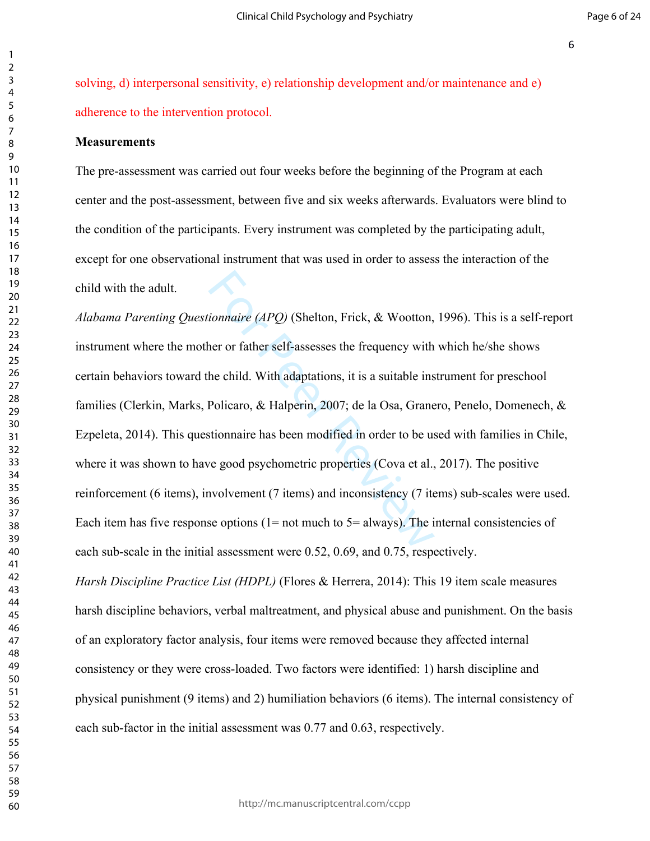solving, d) interpersonal sensitivity, e) relationship development and/or maintenance and e) adherence to the intervention protocol.

#### **Measurements**

The pre-assessment was carried out four weeks before the beginning of the Program at each center and the post-assessment, between five and six weeks afterwards. Evaluators were blind to the condition of the participants. Every instrument was completed by the participating adult, except for one observational instrument that was used in order to assess the interaction of the child with the adult.

*ionnaire (APQ)* (Shelton, Frick, & Wootton,<br>ner or father self-assesses the frequency with<br>he child. With adaptations, it is a suitable ins<br>Policaro, & Halperin, 2007; de la Osa, Grane<br>stionnaire has been modified in ord *Alabama Parenting Questionnaire (APQ)* [\(Shelton, Frick, & Wootton, 1996\)](file:///C:/Users/Felix%20Cova/Dropbox/Escritorio%20UdeC/moderaci%C3%B3n/Parenting%20program%20mediation1.txt%23_ENREF_32). This is a self-report instrument where the mother or father self-assesses the frequency with which he/she shows certain behaviors toward the child. With adaptations, it is a suitable instrument for preschool families ([Clerkin, Marks, Policaro, & Halperin, 2007;](file:///C:/Users/Felix%20Cova/Dropbox/Escritorio%20UdeC/moderaci%C3%B3n/Parenting%20program%20mediation1.txt%23_ENREF_2) [de la Osa, Granero, Penelo, Domenech, &](file:///C:/Users/Felix%20Cova/Dropbox/Escritorio%20UdeC/moderaci%C3%B3n/Parenting%20program%20mediation1.txt%23_ENREF_6)  [Ezpeleta, 2014](file:///C:/Users/Felix%20Cova/Dropbox/Escritorio%20UdeC/moderaci%C3%B3n/Parenting%20program%20mediation1.txt%23_ENREF_6)). This questionnaire has been modified in order to be used with families in Chile, where it was shown to have good psychometric properties [\(Cova et al., 2017](file:///C:/Users/Felix%20Cova/Dropbox/Escritorio%20UdeC/moderaci%C3%B3n/Parenting%20program%20mediation1.txt%23_ENREF_4)). The positive reinforcement (6 items), involvement (7 items) and inconsistency (7 items) sub-scales were used. Each item has five response options ( $1=$  not much to  $5=$  always). The internal consistencies of each sub-scale in the initial assessment were 0.52, 0.69, and 0.75, respectively.

*Harsh Discipline Practice List (HDPL)* [\(Flores & Herrera, 2014](file:///C:/Users/Felix%20Cova/Dropbox/Escritorio%20UdeC/moderaci%C3%B3n/Parenting%20program%20mediation1.txt%23_ENREF_9)): This 19 item scale measures harsh discipline behaviors, verbal maltreatment, and physical abuse and punishment. On the basis of an exploratory factor analysis, four items were removed because they affected internal consistency or they were cross-loaded. Two factors were identified: 1) harsh discipline and physical punishment (9 items) and 2) humiliation behaviors (6 items). The internal consistency of each sub-factor in the initial assessment was 0.77 and 0.63, respectively.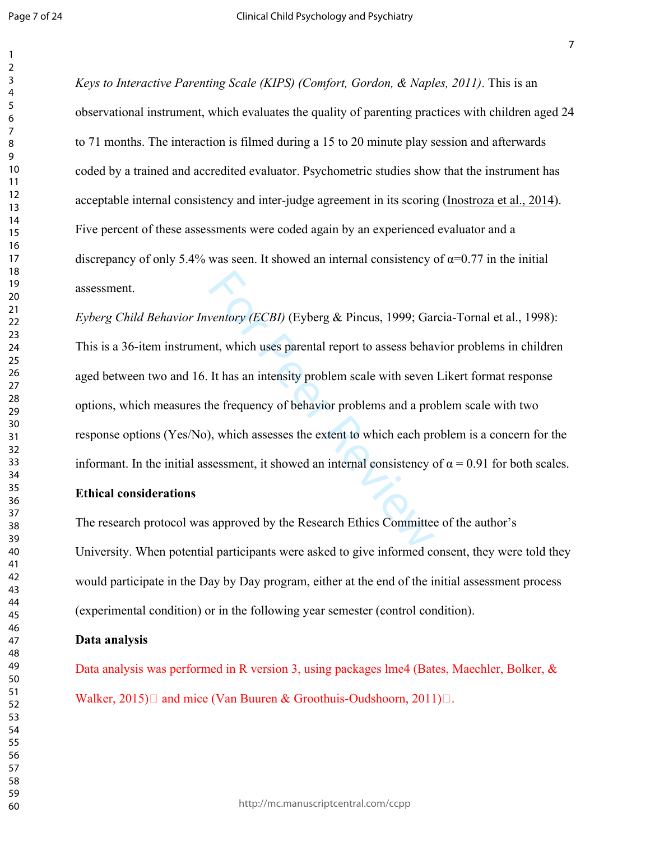*Keys to Interactive Parenting Scale (KIPS) ([Comfort, Gordon, & Naples, 2011\)](file:///C:/Users/Felix%20Cova/Dropbox/Escritorio%20UdeC/moderaci%C3%B3n/Parenting%20program%20mediation1.txt%23_ENREF_3)*. This is an observational instrument, which evaluates the quality of parenting practices with children aged 24 to 71 months. The interaction is filmed during a 15 to 20 minute play session and afterwards coded by a trained and accredited evaluator. Psychometric studies show that the instrument has acceptable internal consistency and inter-judge agreement in its scoring [\(Inostroza et al., 2014](file:///C:/Users/Felix%20Cova/Dropbox/Escritorio%20UdeC/moderaci%C3%B3n/Parenting%20program%20mediation1.txt%23_ENREF_20)). Five percent of these assessments were coded again by an experienced evaluator and a discrepancy of only 5.4% was seen. It showed an internal consistency of  $\alpha$ =0.77 in the initial assessment.

ventory (ECBI) (Eyberg & Pincus, 1999; Gan<br>nt, which uses parental report to assess behavior<br>It has an intensity problem scale with seven<br>he frequency of behavior problems and a pro<br>), which assesses the extent to which ea *Eyberg Child Behavior Inventory (ECBI)* (Eyberg & Pincus, 1999; [Garcia-Tornal et al., 1998](file:///C:/Users/Felix%20Cova/Dropbox/Escritorio%20UdeC/moderaci%C3%B3n/Parenting%20program%20mediation1.txt%23_ENREF_14)): This is a 36-item instrument, which uses parental report to assess behavior problems in children aged between two and 16. It has an intensity problem scale with seven Likert format response options, which measures the frequency of behavior problems and a problem scale with two response options (Yes/No), which assesses the extent to which each problem is a concern for the informant. In the initial assessment, it showed an internal consistency of  $\alpha = 0.91$  for both scales.

## **Ethical considerations**

The research protocol was approved by the Research Ethics Committee of the author's University. When potential participants were asked to give informed consent, they were told they would participate in the Day by Day program, either at the end of the initial assessment process (experimental condition) or in the following year semester (control condition).

## **Data analysis**

Data analysis was performed in R version 3, using packages lme4 (Bates, Maechler, Bolker, & Walker, 2015) and mice (Van Buuren & Groothuis-Oudshoorn, 2011) $\Box$ .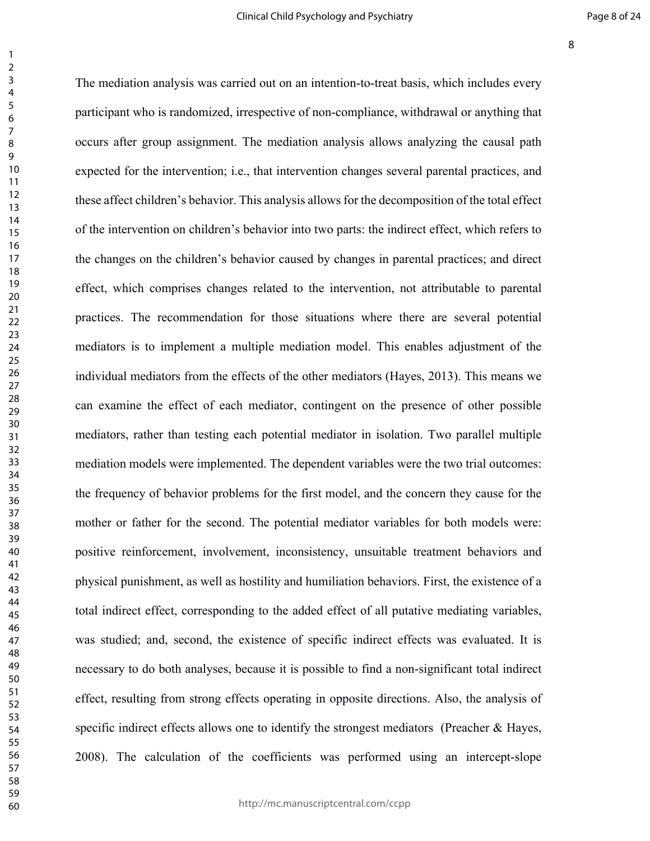changes related to the intervention, not attitudation for those situations where there a<br>to a multiple mediation model. This enable<br>the effects of the other mediators (Hayes, 2<br>f each mediator, contingent on the presen-<br>ti The mediation analysis was carried out on an intention-to-treat basis, which includes every participant who is randomized, irrespective of non-compliance, withdrawal or anything that occurs after group assignment. The mediation analysis allows analyzing the causal path expected for the intervention; i.e., that intervention changes several parental practices, and these affect children's behavior. This analysis allows for the decomposition of the total effect of the intervention on children's behavior into two parts: the indirect effect, which refers to the changes on the children's behavior caused by changes in parental practices; and direct effect, which comprises changes related to the intervention, not attributable to parental practices. The recommendation for those situations where there are several potential mediators is to implement a multiple mediation model. This enables adjustment of the individual mediators from the effects of the other mediators (Hayes, 2013). This means we can examine the effect of each mediator, contingent on the presence of other possible mediators, rather than testing each potential mediator in isolation. Two parallel multiple mediation models were implemented. The dependent variables were the two trial outcomes: the frequency of behavior problems for the first model, and the concern they cause for the mother or father for the second. The potential mediator variables for both models were: positive reinforcement, involvement, inconsistency, unsuitable treatment behaviors and physical punishment, as well as hostility and humiliation behaviors. First, the existence of a total indirect effect, corresponding to the added effect of all putative mediating variables, was studied; and, second, the existence of specific indirect effects was evaluated. It is necessary to do both analyses, because it is possible to find a non-significant total indirect effect, resulting from strong effects operating in opposite directions. Also, the analysis of specific indirect effects allows one to identify the strongest mediators (Preacher & Hayes, 2008). The calculation of the coefficients was performed using an intercept-slope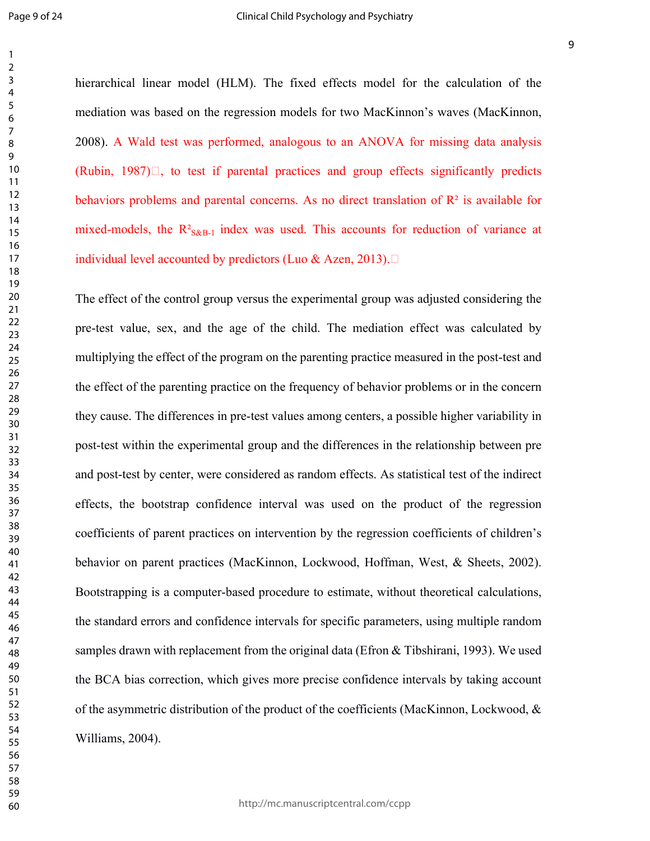hierarchical linear model (HLM). The fixed effects model for the calculation of the mediation was based on the regression models for two MacKinnon's waves [\(MacKinnon,](file:///C:/Users/Felix%20Cova/Dropbox/Escritorio%20UdeC/moderaci%C3%B3n/Parenting%20program%20mediation1.txt%23_ENREF_23)  [2008\)](file:///C:/Users/Felix%20Cova/Dropbox/Escritorio%20UdeC/moderaci%C3%B3n/Parenting%20program%20mediation1.txt%23_ENREF_23). A Wald test was performed, analogous to an ANOVA for missing data analysis (Rubin, ) $\Box$ , to test if parental practices and group effects significantly predicts behaviors problems and parental concerns. As no direct translation of  $\mathbb{R}^2$  is available for mixed-models, the  $R^2_{S\&B-1}$  index was used. This accounts for reduction of variance at individual level accounted by predictors (Luo & Azen, 2013).  $\square$ 

Froup versus the experimental group was adjute the age of the child. The mediation effective in the parenting practice measure practice on the frequency of behavior probles in pre-test values among centers, a possible ment The effect of the control group versus the experimental group was adjusted considering the pre-test value, sex, and the age of the child. The mediation effect was calculated by multiplying the effect of the program on the parenting practice measured in the post-test and the effect of the parenting practice on the frequency of behavior problems or in the concern they cause. The differences in pre-test values among centers, a possible higher variability in post-test within the experimental group and the differences in the relationship between pre and post-test by center, were considered as random effects. As statistical test of the indirect effects, the bootstrap confidence interval was used on the product of the regression coefficients of parent practices on intervention by the regression coefficients of children's behavior on parent practices (MacKinnon, Lockwood, Hoffman, West, & Sheets, 2002). Bootstrapping is a computer-based procedure to estimate, without theoretical calculations, the standard errors and confidence intervals for specific parameters, using multiple random samples drawn with replacement from the original data (Efron & Tibshirani, 1993). We used the BCA bias correction, which gives more precise confidence intervals by taking account of the asymmetric distribution of the product of the coefficients (MacKinnon, Lockwood,  $\&$ Williams, 2004).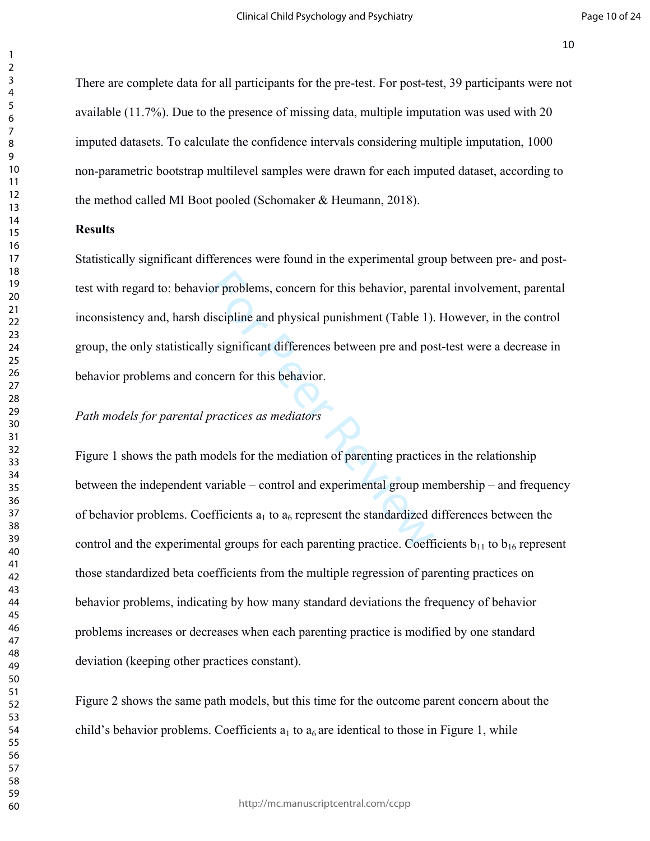There are complete data for all participants for the pre-test. For post-test, 39 participants were not available (11.7%). Due to the presence of missing data, multiple imputation was used with 20 imputed datasets. To calculate the confidence intervals considering multiple imputation, 1000 non-parametric bootstrap multilevel samples were drawn for each imputed dataset, according to the method called MI Boot pooled (Schomaker & Heumann, 2018).

#### **Results**

or problems, concern for this behavior, parentiscipline and physical punishment (Table 1).<br>y significant differences between pre and pos<br>ncern for this behavior.<br>practices as mediators<br>ordels for the mediation of parenting Statistically significant differences were found in the experimental group between pre- and posttest with regard to: behavior problems, concern for this behavior, parental involvement, parental inconsistency and, harsh discipline and physical punishment (Table 1). However, in the control group, the only statistically significant differences between pre and post-test were a decrease in behavior problems and concern for this behavior.

## *Path models for parental practices as mediators*

Figure 1 shows the path models for the mediation of parenting practices in the relationship between the independent variable – control and experimental group membership – and frequency of behavior problems. Coefficients  $a_1$  to  $a_6$  represent the standardized differences between the control and the experimental groups for each parenting practice. Coefficients  $b_{11}$  to  $b_{16}$  represent those standardized beta coefficients from the multiple regression of parenting practices on behavior problems, indicating by how many standard deviations the frequency of behavior problems increases or decreases when each parenting practice is modified by one standard deviation (keeping other practices constant).

Figure 2 shows the same path models, but this time for the outcome parent concern about the child's behavior problems. Coefficients  $a_1$  to  $a_6$  are identical to those in Figure 1, while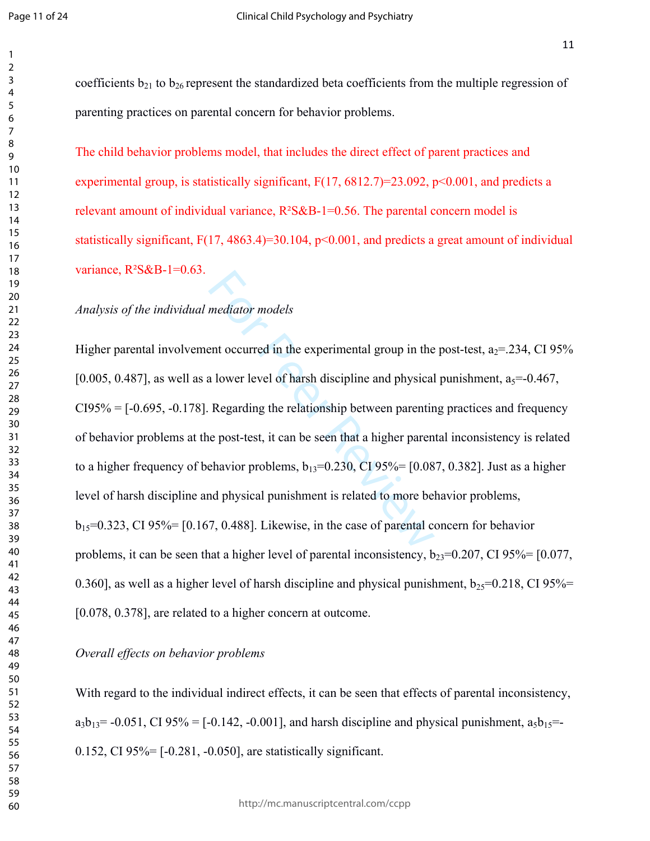coefficients  $b_{21}$  to  $b_{26}$  represent the standardized beta coefficients from the multiple regression of parenting practices on parental concern for behavior problems.

The child behavior problems model, that includes the direct effect of parent practices and experimental group, is statistically significant,  $F(17, 6812.7)=23.092$ ,  $p<0.001$ , and predicts a relevant amount of individual variance,  $R^2S\&B-1=0.56$ . The parental concern model is statistically significant,  $F(17, 4863.4) = 30.104$ ,  $p < 0.001$ , and predicts a great amount of individual variance,  $R^2S\&B-1=0.63$ .

# *Analysis of the individual mediator models*

mediator models<br>ent occurred in the experimental group in the<br>a lower level of harsh discipline and physical<br>Regarding the relationship between parentin<br>e post-test, it can be seen that a higher paren<br>ehavior problems,  $b$ Higher parental involvement occurred in the experimental group in the post-test,  $a_2$ =.234, CI 95% [0.005, 0.487], as well as a lower level of harsh discipline and physical punishment,  $a_5 = -0.467$ ,  $CI95\% = [-0.695, -0.178]$ . Regarding the relationship between parenting practices and frequency of behavior problems at the post-test, it can be seen that a higher parental inconsistency is related to a higher frequency of behavior problems,  $b_{13}=0.230$ , CI 95%= [0.087, 0.382]. Just as a higher level of harsh discipline and physical punishment is related to more behavior problems,  $b_{15}=0.323$ , CI 95%= [0.167, 0.488]. Likewise, in the case of parental concern for behavior problems, it can be seen that a higher level of parental inconsistency,  $b_{23}=0.207$ , CI 95%= [0.077, 0.360], as well as a higher level of harsh discipline and physical punishment,  $b_{25}=0.218$ , CI 95%= [0.078, 0.378], are related to a higher concern at outcome.

*Overall effects on behavior problems*

With regard to the individual indirect effects, it can be seen that effects of parental inconsistency,  $a_3b_{13}$  = -0.051, CI 95% = [-0.142, -0.001], and harsh discipline and physical punishment,  $a_5b_{15}$  = 0.152, CI 95%= [-0.281, -0.050], are statistically significant.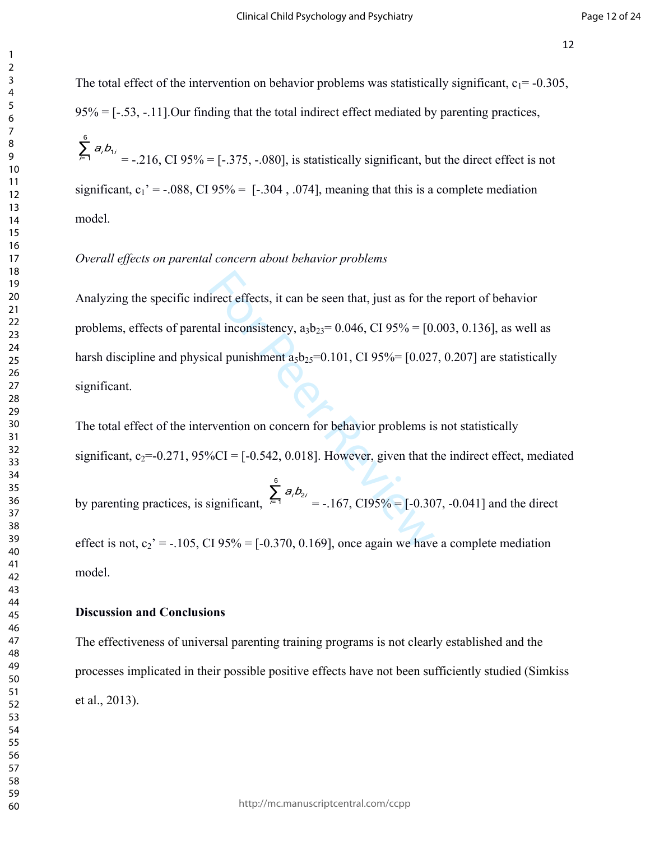The total effect of the intervention on behavior problems was statistically significant,  $c_1 = -0.305$ ,  $95\% = [-53, -11]$ . Our finding that the total indirect effect mediated by parenting practices,

 $\sum_{i=1}^{6} a_i b_i$  = -.216, CI 95% = [-.375, -.080], is statistically significant, but the direct effect is not  $a_i b_{1i}$ significant,  $c_1' = -0.088$ , CI 95% = [-.304, .074], meaning that this is a complete mediation model.

# *Overall effects on parental concern about behavior problems*

lirect effects, it can be seen that, just as for th<br>tal inconsistency, a<sub>3</sub>b<sub>23</sub>= 0.046, CI 95% = [0.027<br>cal punishment a<sub>5</sub>b<sub>25</sub>=0.101, CI 95% = [0.027<br>rvention on concern for behavior problems is<br> $\%CI = [-0.542, 0.018]$ . H Analyzing the specific indirect effects, it can be seen that, just as for the report of behavior problems, effects of parental inconsistency,  $a_3b_{23}=0.046$ , CI 95% = [0.003, 0.136], as well as harsh discipline and physical punishment  $a_5b_2=0.101$ , CI 95%= [0.027, 0.207] are statistically significant.

The total effect of the intervention on concern for behavior problems is not statistically significant,  $c_2 = -0.271$ ,  $95\%CI = [-0.542, 0.018]$ . However, given that the indirect effect, mediated

by parenting practices, is significant,  $\sum_{i=1}^{6} a_i b_{2i} = -167$ , CI95% = [-0.307, -0.041] and the direct  $a_i b_{2i}$ effect is not,  $c_2' = -105$ , CI 95% = [-0.370, 0.169], once again we have a complete mediation model.

#### **Discussion and Conclusions**

The effectiveness of universal parenting training programs is not clearly established and the processes implicated in their possible positive effects have not been sufficiently studied [\(Simkiss](file:///C:/Users/Felix%20Cova/Dropbox/Escritorio%20UdeC/moderaci%C3%B3n/Parenting%20program%20mediation1.txt%23_ENREF_33)  [et al., 2013](file:///C:/Users/Felix%20Cova/Dropbox/Escritorio%20UdeC/moderaci%C3%B3n/Parenting%20program%20mediation1.txt%23_ENREF_33)).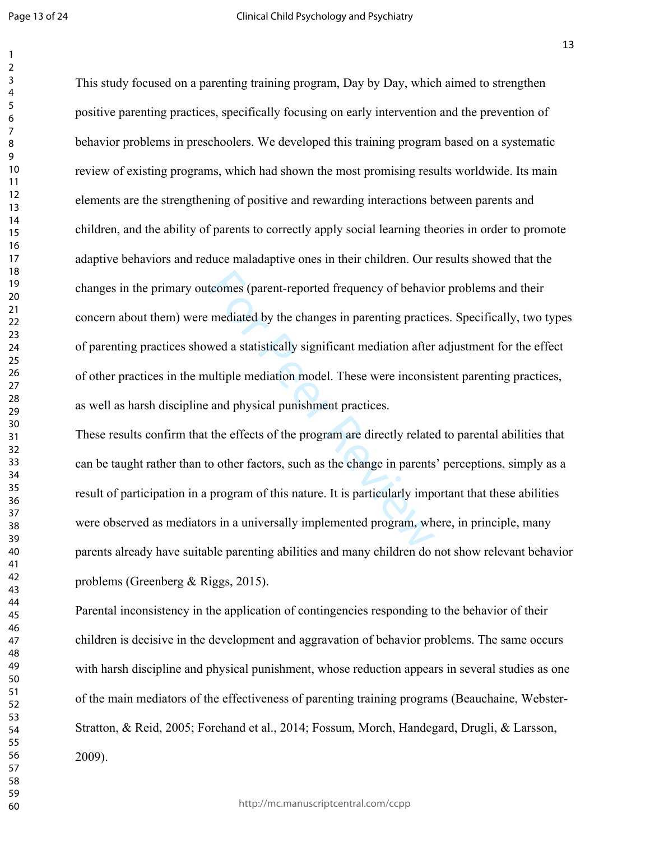Page 13 of 24

tcomes (parent-reported frequency of behavior<br>mediated by the changes in parenting practic<br>wed a statistically significant mediation after<br>ultiple mediation model. These were inconsi<br>and physical punishment practices.<br>the This study focused on a parenting training program, Day by Day, which aimed to strengthen positive parenting practices, specifically focusing on early intervention and the prevention of behavior problems in preschoolers. We developed this training program based on a systematic review of existing programs, which had shown the most promising results worldwide. Its main elements are the strengthening of positive and rewarding interactions between parents and children, and the ability of parents to correctly apply social learning theories in order to promote adaptive behaviors and reduce maladaptive ones in their children. Our results showed that the changes in the primary outcomes (parent-reported frequency of behavior problems and their concern about them) were mediated by the changes in parenting practices. Specifically, two types of parenting practices showed a statistically significant mediation after adjustment for the effect of other practices in the multiple mediation model. These were inconsistent parenting practices, as well as harsh discipline and physical punishment practices.

These results confirm that the effects of the program are directly related to parental abilities that can be taught rather than to other factors, such as the change in parents' perceptions, simply as a result of participation in a program of this nature. It is particularly important that these abilities were observed as mediators in a universally implemented program, where, in principle, many parents already have suitable parenting abilities and many children do not show relevant behavior problems ([Greenberg & Riggs, 2015\)](file:///C:/Users/Felix%20Cova/Dropbox/Escritorio%20UdeC/moderaci%C3%B3n/Parenting%20program%20mediation1.txt%23_ENREF_17).

Parental inconsistency in the application of contingencies responding to the behavior of their children is decisive in the development and aggravation of behavior problems. The same occurs with harsh discipline and physical punishment, whose reduction appears in several studies as one of the main mediators of the effectiveness of parenting training programs [\(Beauchaine, Webster-](file:///C:/Users/Felix%20Cova/Dropbox/Escritorio%20UdeC/moderaci%C3%B3n/Parenting%20program%20mediation1.txt%23_ENREF_1)[Stratton, & Reid, 2005;](file:///C:/Users/Felix%20Cova/Dropbox/Escritorio%20UdeC/moderaci%C3%B3n/Parenting%20program%20mediation1.txt%23_ENREF_1) [Forehand et al., 2014;](file:///C:/Users/Felix%20Cova/Dropbox/Escritorio%20UdeC/moderaci%C3%B3n/Parenting%20program%20mediation1.txt%23_ENREF_11) [Fossum, Morch, Handegard, Drugli, & Larsson,](file:///C:/Users/Felix%20Cova/Dropbox/Escritorio%20UdeC/moderaci%C3%B3n/Parenting%20program%20mediation1.txt%23_ENREF_13)  [2009\)](file:///C:/Users/Felix%20Cova/Dropbox/Escritorio%20UdeC/moderaci%C3%B3n/Parenting%20program%20mediation1.txt%23_ENREF_13).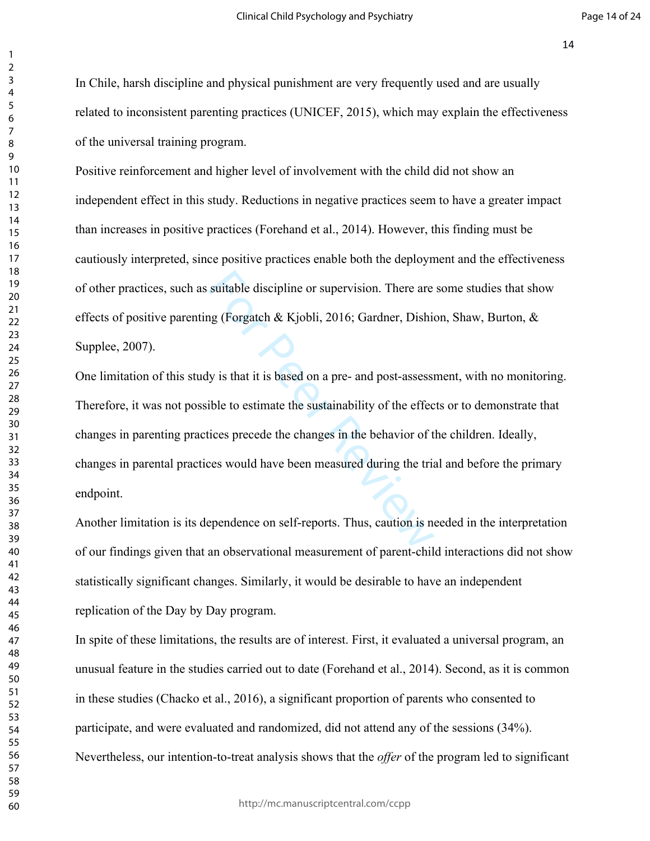In Chile, harsh discipline and physical punishment are very frequently used and are usually related to inconsistent parenting practices (UNICEF, 2015), which may explain the effectiveness of the universal training program.

Positive reinforcement and higher level of involvement with the child did not show an independent effect in this study. Reductions in negative practices seem to have a greater impact than increases in positive practices (Forehand et al., 2014). However, this finding must be cautiously interpreted, since positive practices enable both the deployment and the effectiveness of other practices, such as suitable discipline or supervision. There are some studies that show effects of positive parenting (Forgatch & Kjobli, 2016; Gardner, Dishion, Shaw, Burton, & [Supplee, 2007\)](file:///C:/Users/Felix%20Cova/Dropbox/Escritorio%20UdeC/moderaci%C3%B3n/Parenting%20program%20mediation1.txt%23_ENREF_16).

suitable discipline [or](file:///C:/Users/Felix%20Cova/Dropbox/Escritorio%20UdeC/moderaci%C3%B3n/Parenting%20program%20mediation1.txt%23_ENREF_12) supervision. There are<br>ng (Forgatch & Kjobli, 2016; Gardner, Dishierty<br>is that it is based on a pre- and post-assessi<br>ible to estimate the sustainability of the effection<br>is precede the changes in t One limitation of this study is that it is based on a pre- and post-assessment, with no monitoring. Therefore, it was not possible to estimate the sustainability of the effects or to demonstrate that changes in parenting practices precede the changes in the behavior of the children. Ideally, changes in parental practices would have been measured during the trial and before the primary endpoint.

Another limitation is its dependence on self-reports. Thus, caution is needed in the interpretation of our findings given that an observational measurement of parent-child interactions did not show statistically significant changes. Similarly, it would be desirable to have an independent replication of the Day by Day program.

In spite of these limitations, the results are of interest. First, it evaluated a universal program, an unusual feature in the studies carried out to date (Forehand et al., 2014). Second, as it is common in these studies [\(Chacko et al., 2016](file:///C:/Users/Felix%20Cova/Dropbox/Escritorio%20UdeC/moderaci%C3%B3n/Parenting%20program%20mediation1.txt%23_ENREF_5)), a significant proportion of parents who consented to participate, and were evaluated and randomized, did not attend any of the sessions (34%). Nevertheless, our intention-to-treat analysis shows that the *offer* of the program led to significant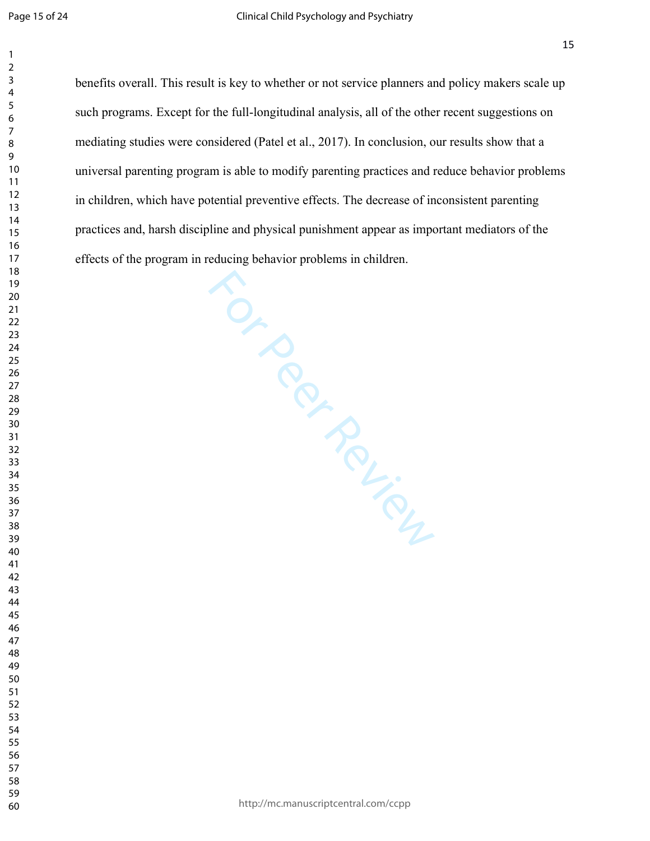Fram in ... In ... In ... In ... In ... In ... In ... In ... In ... In ... In ... In ... In ... In ... In ... In ... In ... In ... In ... In ... In ... In ... In ... In ... In ... In ... In ... In ... In ... In ... In ... benefits overall. This result is key to whether or not service planners and policy makers scale up such programs. Except for the full-longitudinal analysis, all of the other recent suggestions on mediating studies were considered ([Patel et al., 2017\)](file:///C:/Users/Felix%20Cova/Dropbox/Escritorio%20UdeC/moderaci%C3%B3n/Parenting%20program%20mediation1.txt%23_ENREF_27). In conclusion, our results show that a universal parenting program is able to modify parenting practices and reduce behavior problems in children, which have potential preventive effects. The decrease of inconsistent parenting practices and, harsh discipline and physical punishment appear as important mediators of the effects of the program in reducing behavior problems in children.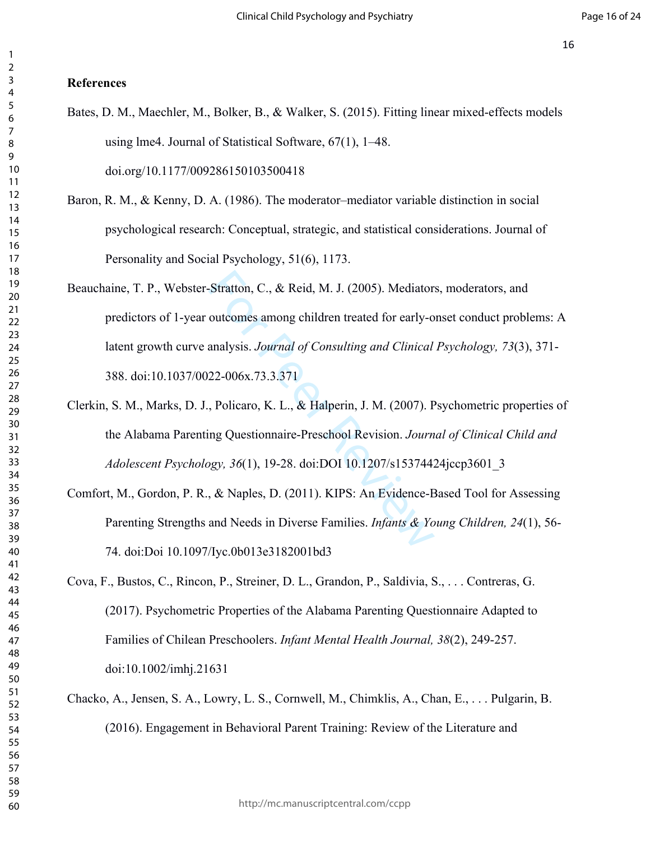# **References**

- Bates, D. M., Maechler, M., Bolker, B., & Walker, S. (2015). Fitting linear mixed-effects models using lme4. Journal of Statistical Software, 67(1), 1–48. doi.org/10.1177/009286150103500418
- Baron, R. M., & Kenny, D. A. (1986). The moderator–mediator variable distinction in social psychological research: Conceptual, strategic, and statistical considerations. Journal of Personality and Social Psychology, 51(6), 1173.
- Stratton, C., & Reid, M. J. (2005). Mediator<br>
outcomes among children treated for early-o<br>
analysis. *Journal of Consulting and Clinical*<br>
22-006x.73.3.371<br>
, Policaro, K. L., & Halperin, J. M. (2007). P<br>
ng Questionnaire-Beauchaine, T. P., Webster-Stratton, C., & Reid, M. J. (2005). Mediators, moderators, and predictors of 1-year outcomes among children treated for early-onset conduct problems: A latent growth curve analysis. *Journal of Consulting and Clinical Psychology, 73*(3), 371- 388. doi:10.1037/0022-006x.73.3.371
- Clerkin, S. M., Marks, D. J., Policaro, K. L., & Halperin, J. M. (2007). Psychometric properties of the Alabama Parenting Questionnaire-Preschool Revision. *Journal of Clinical Child and Adolescent Psychology, 36*(1), 19-28. doi:DOI 10.1207/s15374424jccp3601\_3
- Comfort, M., Gordon, P. R., & Naples, D. (2011). KIPS: An Evidence-Based Tool for Assessing Parenting Strengths and Needs in Diverse Families. *Infants & Young Children, 24*(1), 56- 74. doi:Doi 10.1097/Iyc.0b013e3182001bd3
- Cova, F., Bustos, C., Rincon, P., Streiner, D. L., Grandon, P., Saldivia, S., . . . Contreras, G. (2017). Psychometric Properties of the Alabama Parenting Questionnaire Adapted to Families of Chilean Preschoolers. *Infant Mental Health Journal, 38*(2), 249-257. doi:10.1002/imhj.21631
- Chacko, A., Jensen, S. A., Lowry, L. S., Cornwell, M., Chimklis, A., Chan, E., . . . Pulgarin, B. (2016). Engagement in Behavioral Parent Training: Review of the Literature and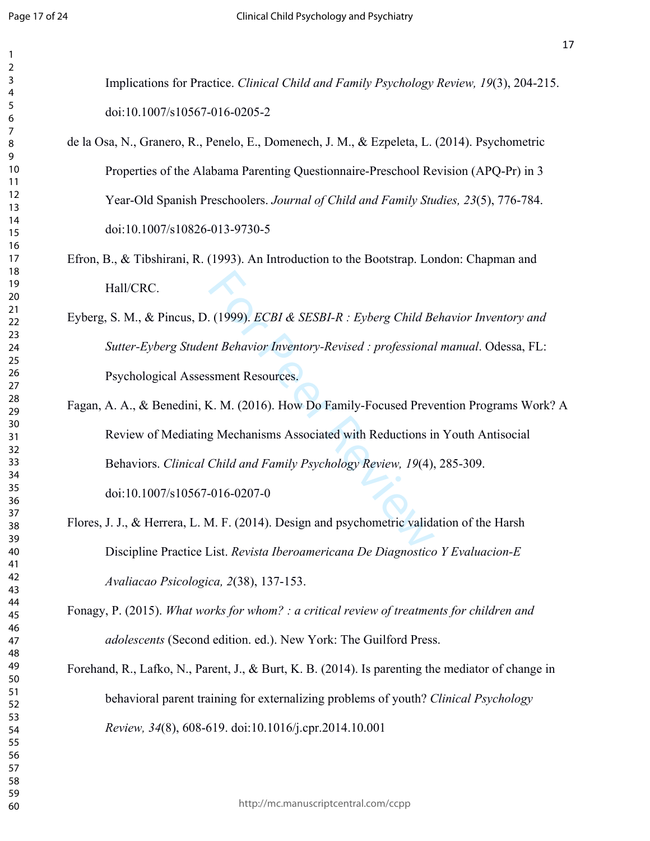| Implications for Practice. Clinical Child and Family Psychology Review, 19(3), 204-215.                |
|--------------------------------------------------------------------------------------------------------|
| doi:10.1007/s10567-016-0205-2                                                                          |
| de la Osa, N., Granero, R., Penelo, E., Domenech, J. M., & Ezpeleta, L. (2014). Psychometric           |
| Properties of the Alabama Parenting Questionnaire-Preschool Revision (APQ-Pr) in 3                     |
| Year-Old Spanish Preschoolers. Journal of Child and Family Studies, 23(5), 776-784.                    |
| doi:10.1007/s10826-013-9730-5                                                                          |
| Efron, B., & Tibshirani, R. (1993). An Introduction to the Bootstrap. London: Chapman and<br>Hall/CRC. |
| Eyberg, S. M., & Pincus, D. (1999). ECBI & SESBI-R : Eyberg Child Behavior Inventory and               |
| Sutter-Eyberg Student Behavior Inventory-Revised : professional manual. Odessa, FL:                    |
| Psychological Assessment Resources.                                                                    |
| Fagan, A. A., & Benedini, K. M. (2016). How Do Family-Focused Prevention Programs Work? A              |
| Review of Mediating Mechanisms Associated with Reductions in Youth Antisocial                          |
| Behaviors. Clinical Child and Family Psychology Review, 19(4), 285-309.                                |
| doi:10.1007/s10567-016-0207-0                                                                          |
| Flores, J. J., & Herrera, L. M. F. (2014). Design and psychometric validation of the Harsh             |
| Discipline Practice List. Revista Iberoamericana De Diagnostico Y Evaluacion-E                         |
| Avaliacao Psicologica, 2(38), 137-153.                                                                 |
| Fonagy, P. (2015). What works for whom? : a critical review of treatments for children and             |
| adolescents (Second edition. ed.). New York: The Guilford Press.                                       |
| Forehand, R., Lafko, N., Parent, J., & Burt, K. B. (2014). Is parenting the mediator of change in      |
| behavioral parent training for externalizing problems of youth? Clinical Psychology                    |
| Review, 34(8), 608-619. doi:10.1016/j.cpr.2014.10.001                                                  |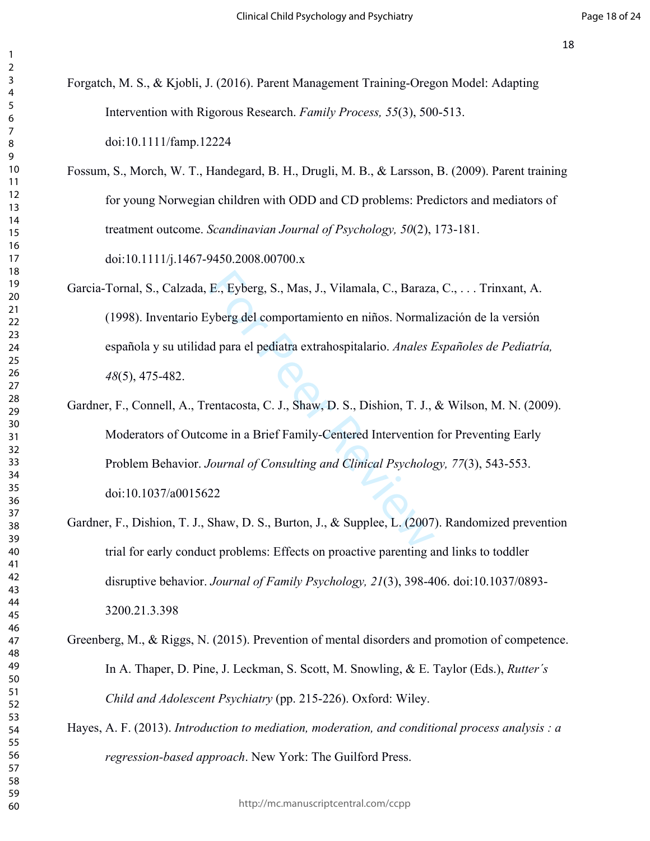- Forgatch, M. S., & Kjobli, J. (2016). Parent Management Training-Oregon Model: Adapting Intervention with Rigorous Research. *Family Process, 55*(3), 500-513. doi:10.1111/famp.12224
- Fossum, S., Morch, W. T., Handegard, B. H., Drugli, M. B., & Larsson, B. (2009). Parent training for young Norwegian children with ODD and CD problems: Predictors and mediators of treatment outcome. *Scandinavian Journal of Psychology, 50*(2), 173-181. doi:10.1111/j.1467-9450.2008.00700.x
	- Garcia-Tornal, S., Calzada, E., Eyberg, S., Mas, J., Vilamala, C., Baraza, C., . . . Trinxant, A. (1998). Inventario Eyberg del comportamiento en niños. Normalización de la versión española y su utilidad para el pediatra extrahospitalario. *Anales Españoles de Pediatría,*  (5), 475-482.
	- E., Eyberg, S., Mas, J., Vilamala, C., Baraza<br>yberg del comportamiento en niños. Normal<br>d para el pediatra extrahospitalario. Anales E<br>entacosta, C. J., Shaw, D. S., Dishion, T. J.,<br>ome in a Brief Family-Centered Intervent Gardner, F., Connell, A., Trentacosta, C. J., Shaw, D. S., Dishion, T. J., & Wilson, M. N. (2009). Moderators of Outcome in a Brief Family-Centered Intervention for Preventing Early Problem Behavior. *Journal of Consulting and Clinical Psychology, 77*(3), 543-553. doi:10.1037/a0015622
- Gardner, F., Dishion, T. J., Shaw, D. S., Burton, J., & Supplee, L. (2007). Randomized prevention trial for early conduct problems: Effects on proactive parenting and links to toddler disruptive behavior. *Journal of Family Psychology, 21*(3), 398-406. doi:10.1037/0893- 3200.21.3.398
- Greenberg, M., & Riggs, N. (2015). Prevention of mental disorders and promotion of competence. In A. Thaper, D. Pine, J. Leckman, S. Scott, M. Snowling, & E. Taylor (Eds.), *Rutter´s Child and Adolescent Psychiatry* (pp. 215-226). Oxford: Wiley.
- Hayes, A. F. (2013). *Introduction to mediation, moderation, and conditional process analysis : a regression-based approach*. New York: The Guilford Press.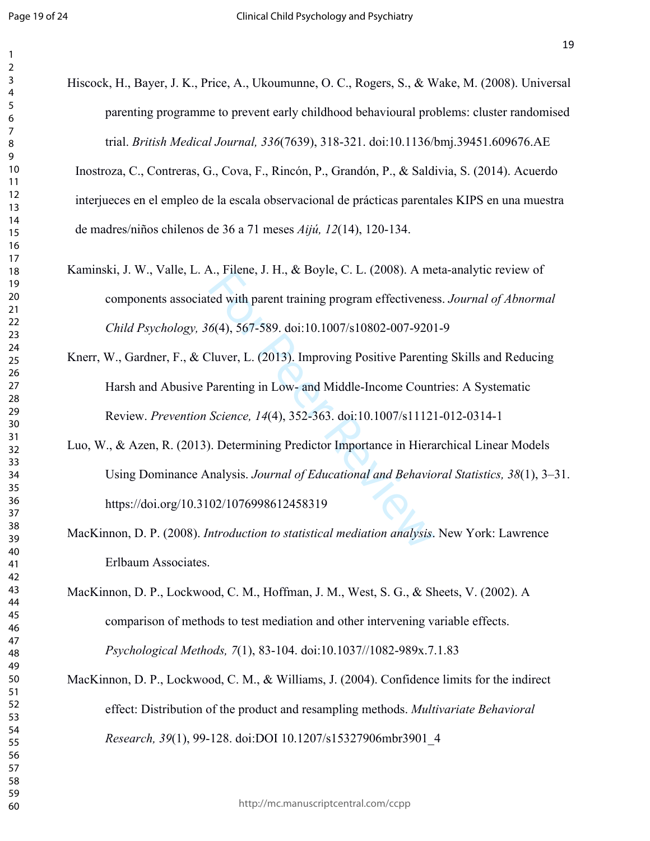| Hiscock, H., Bayer, J. K., Price, A., Ukoumunne, O. C., Rogers, S., & Wake, M. (2008). Universal |
|--------------------------------------------------------------------------------------------------|
| parenting programme to prevent early childhood behavioural problems: cluster randomised          |
| trial. British Medical Journal, 336(7639), 318-321. doi:10.1136/bmj.39451.609676.AE              |
| Inostroza, C., Contreras, G., Cova, F., Rincón, P., Grandón, P., & Saldivia, S. (2014). Acuerdo  |
| interjueces en el empleo de la escala observacional de prácticas parentales KIPS en una muestra  |
| de madres/niños chilenos de 36 a 71 meses Aijú, 12(14), 120-134.                                 |
| Kaminski, J. W., Valle, L. A., Filene, J. H., & Boyle, C. L. (2008). A meta-analytic review of   |
| components associated with parent training program effectiveness. Journal of Abnormal            |
| Child Psychology, 36(4), 567-589. doi:10.1007/s10802-007-9201-9                                  |
| Knerr, W., Gardner, F., & Cluver, L. (2013). Improving Positive Parenting Skills and Reducing    |
| Harsh and Abusive Parenting in Low- and Middle-Income Countries: A Systematic                    |
| Review. Prevention Science, 14(4), 352-363. doi:10.1007/s11121-012-0314-1                        |
| Luo, W., & Azen, R. (2013). Determining Predictor Importance in Hierarchical Linear Models       |
| Using Dominance Analysis. Journal of Educational and Behavioral Statistics, 38(1), 3-31.         |
| https://doi.org/10.3102/1076998612458319                                                         |
| MacKinnon, D. P. (2008). Introduction to statistical mediation analysis. New York: Lawrence      |
| Erlbaum Associates.                                                                              |
| MacKinnon, D. P., Lockwood, C. M., Hoffman, J. M., West, S. G., & Sheets, V. (2002). A           |
| comparison of methods to test mediation and other intervening variable effects.                  |
| Psychological Methods, 7(1), 83-104. doi:10.1037//1082-989x.7.1.83                               |
| MacKinnon, D. P., Lockwood, C. M., & Williams, J. (2004). Confidence limits for the indirect     |
| effect: Distribution of the product and resampling methods. Multivariate Behavioral              |
| Research, 39(1), 99-128. doi:DOI 10.1207/s15327906mbr3901_4                                      |
|                                                                                                  |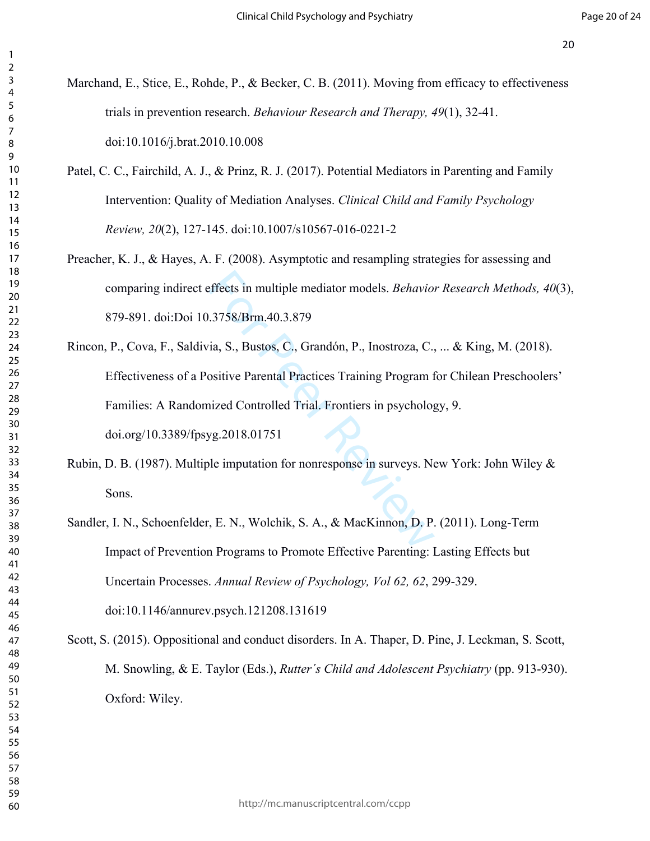| Marchand, E., Stice, E., Rohde, P., & Becker, C. B. (2011). Moving from efficacy to effectiveness  |
|----------------------------------------------------------------------------------------------------|
| trials in prevention research. Behaviour Research and Therapy, 49(1), 32-41.                       |
| doi:10.1016/j.brat.2010.10.008                                                                     |
| Patel, C. C., Fairchild, A. J., & Prinz, R. J. (2017). Potential Mediators in Parenting and Family |
| Intervention: Quality of Mediation Analyses. Clinical Child and Family Psychology                  |
| Review, 20(2), 127-145. doi:10.1007/s10567-016-0221-2                                              |
| Preacher, K. J., & Hayes, A. F. (2008). Asymptotic and resampling strategies for assessing and     |
| comparing indirect effects in multiple mediator models. Behavior Research Methods, 40(3),          |
| 879-891. doi:Doi 10.3758/Brm.40.3.879                                                              |
| Rincon, P., Cova, F., Saldivia, S., Bustos, C., Grandón, P., Inostroza, C.,  & King, M. (2018).    |
| Effectiveness of a Positive Parental Practices Training Program for Chilean Preschoolers'          |
| Families: A Randomized Controlled Trial. Frontiers in psychology, 9.                               |
| doi.org/10.3389/fpsyg.2018.01751                                                                   |
| Rubin, D. B. (1987). Multiple imputation for nonresponse in surveys. New York: John Wiley &        |
| Sons.                                                                                              |
| Sandler, I. N., Schoenfelder, E. N., Wolchik, S. A., & MacKinnon, D. P. (2011). Long-Term          |
| Impact of Prevention Programs to Promote Effective Parenting: Lasting Effects but                  |
| Uncertain Processes. Annual Review of Psychology, Vol 62, 62, 299-329.                             |
| doi:10.1146/annurev.psych.121208.131619                                                            |
| Scott, S. (2015). Oppositional and conduct disorders. In A. Thaper, D. Pine, J. Leckman, S. Scott, |
| M. Snowling, & E. Taylor (Eds.), Rutter's Child and Adolescent Psychiatry (pp. 913-930).           |
| Oxford: Wiley.                                                                                     |
|                                                                                                    |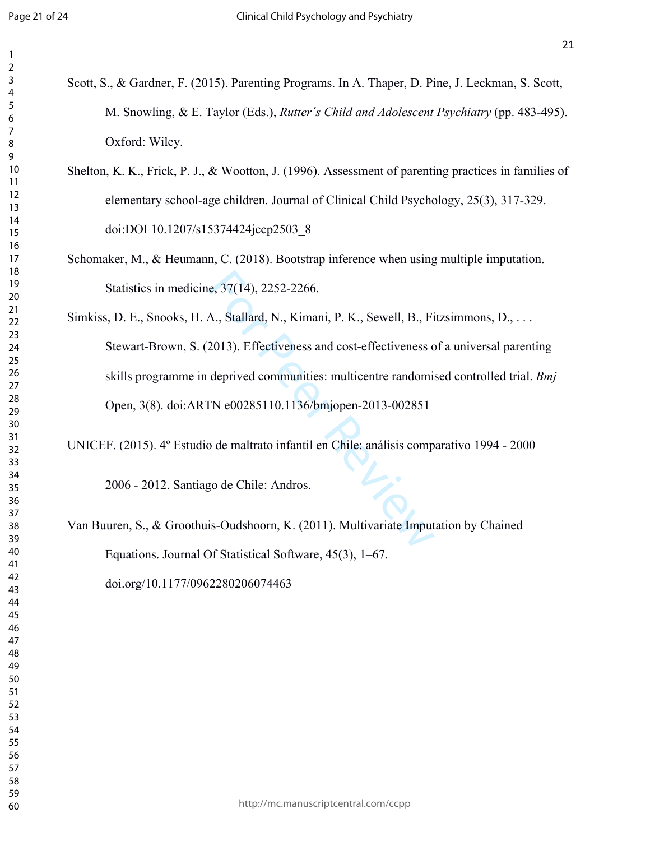| Scott, S., & Gardner, F. (2015). Parenting Programs. In A. Thaper, D. Pine, J. Leckman, S. Scott,    |
|------------------------------------------------------------------------------------------------------|
| M. Snowling, & E. Taylor (Eds.), Rutter's Child and Adolescent Psychiatry (pp. 483-495).             |
| Oxford: Wiley.                                                                                       |
| Shelton, K. K., Frick, P. J., & Wootton, J. (1996). Assessment of parenting practices in families of |
| elementary school-age children. Journal of Clinical Child Psychology, 25(3), 317-329.                |
| doi:DOI 10.1207/s15374424jccp2503 8                                                                  |
| Schomaker, M., & Heumann, C. (2018). Bootstrap inference when using multiple imputation.             |
| Statistics in medicine, 37(14), 2252-2266.                                                           |
| Simkiss, D. E., Snooks, H. A., Stallard, N., Kimani, P. K., Sewell, B., Fitzsimmons, D.,             |
| Stewart-Brown, S. (2013). Effectiveness and cost-effectiveness of a universal parenting              |
| skills programme in deprived communities: multicentre randomised controlled trial. Bmj               |
| Open, 3(8). doi:ARTN e00285110.1136/bmjopen-2013-002851                                              |
| UNICEF. (2015). 4º Estudio de maltrato infantil en Chile: análisis comparativo 1994 - 2000 -         |
| 2006 - 2012. Santiago de Chile: Andros.                                                              |
| Van Buuren, S., & Groothuis-Oudshoorn, K. (2011). Multivariate Imputation by Chained                 |
| Equations. Journal Of Statistical Software, 45(3), 1–67.                                             |
| doi.org/10.1177/0962280206074463                                                                     |
|                                                                                                      |
|                                                                                                      |
|                                                                                                      |
|                                                                                                      |
|                                                                                                      |
|                                                                                                      |
|                                                                                                      |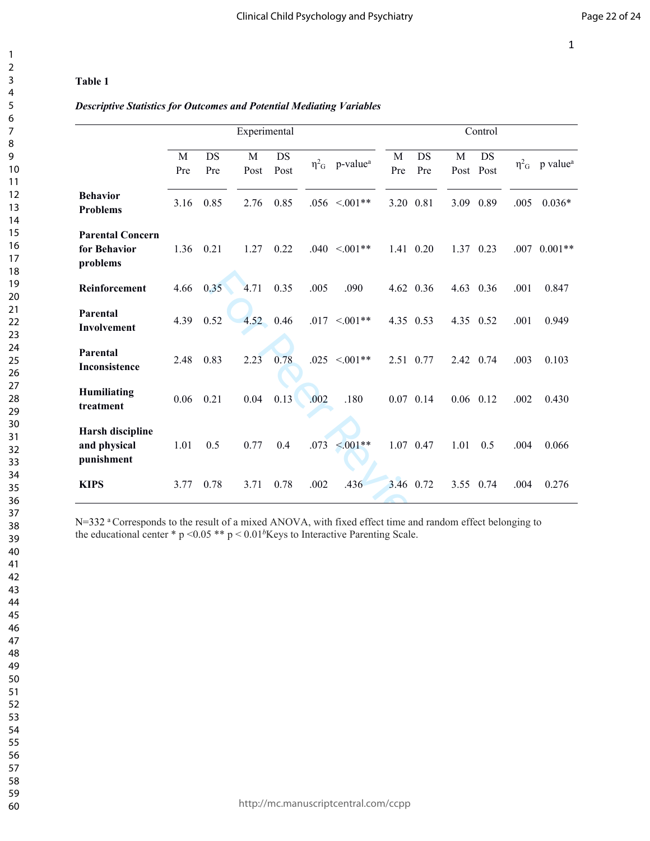## **Table 1**

## *Descriptive Statistics for Outcomes and Potential Mediating Variables*

|                                            | Control |           |                |             | Experimental |                                            |      |                   |           |           |          |                                                                                                                                                                                                                      |
|--------------------------------------------|---------|-----------|----------------|-------------|--------------|--------------------------------------------|------|-------------------|-----------|-----------|----------|----------------------------------------------------------------------------------------------------------------------------------------------------------------------------------------------------------------------|
| $\eta^2$ <sub>G</sub> p value <sup>a</sup> |         | DS        | M<br>Post Post | DS<br>Pre   | M<br>Pre     | $\eta^2$ <sub>G</sub> p-value <sup>a</sup> |      | <b>DS</b><br>Post | M<br>Post | DS<br>Pre | M<br>Pre |                                                                                                                                                                                                                      |
| $0.036*$                                   | .005    | 0.89      | 3.09           |             | 3.20 0.81    | $.056 \le 0.01**$                          |      | 0.85              | 2.76      | 0.85      | 3.16     | <b>Behavior</b><br><b>Problems</b>                                                                                                                                                                                   |
| $.007$ 0.001**                             |         | 1.37 0.23 |                | 1.41 0.20   |              | $.040 < 0.01**$                            |      | 0.22              | 1.27      | 0.21      | 1.36     | <b>Parental Concern</b><br>for Behavior<br>problems                                                                                                                                                                  |
| 0.847                                      | .001    |           | 4.63 0.36      | 4.62 0.36   |              | .090                                       | .005 | 0.35              | 4.71      | 0.35      | 4.66     | Reinforcement                                                                                                                                                                                                        |
| 0.949                                      | .001    |           | 4.35 0.52      |             | 4.35 0.53    | $.017 < 001**$                             |      | 0.46              | 4.52      | 0.52      | 4.39     | Parental<br>Involvement                                                                                                                                                                                              |
| 0.103                                      | .003    |           | 2.42 0.74      | 2.51 0.77   |              | $.025 \le 0.01**$                          |      | 0.78              | 2.23      | 0.83      | 2.48     | Parental<br><b>Inconsistence</b>                                                                                                                                                                                     |
| 0.430                                      | .002    |           | $0.06$ 0.12    | $0.07$ 0.14 |              | .180                                       | .002 | 0.13              | 0.04      | 0.21      | 0.06     | <b>Humiliating</b><br>treatment                                                                                                                                                                                      |
| 0.066                                      | .004    | 0.5       | 1.01           | 1.07 0.47   |              | $\leq 0.01**$                              | .073 | 0.4               | 0.77      | 0.5       | 1.01     | Harsh discipline<br>and physical<br>punishment                                                                                                                                                                       |
| 0.276                                      | .004    | 3.55 0.74 |                |             | 3.46 0.72    | .436                                       | .002 | 0.78              | 3.71      | 0.78      | 3.77     | <b>KIPS</b>                                                                                                                                                                                                          |
|                                            |         |           |                |             |              |                                            |      |                   |           |           |          | N=332 a Corresponds to the result of a mixed ANOVA, with fixed effect time and random effect belonging to<br>the educational center * $p \le 0.05$ ** $p \le 0.01$ <sup>b</sup> Keys to Interactive Parenting Scale. |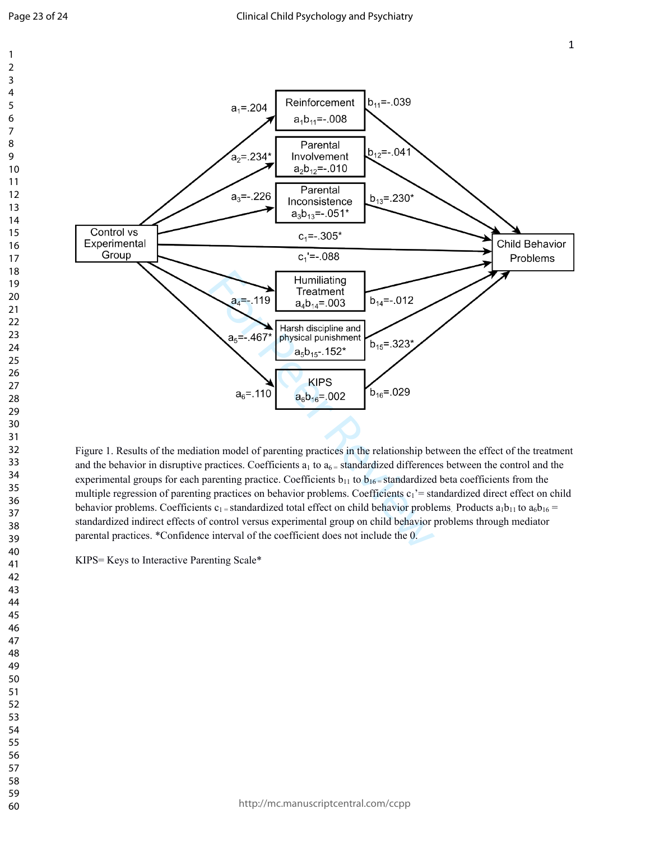

Figure 1. Results of the mediation model of parenting practices in the relationship between the effect of the treatment and the behavior in disruptive practices. Coefficients  $a_1$  to  $a_6$  = standardized differences between the control and the experimental groups for each parenting practice. Coefficients  $b_{11}$  to  $b_{16}$  = standardized beta coefficients from the multiple regression of parenting practices on behavior problems. Coefficients  $c_1$ '= standardized direct effect on child behavior problems. Coefficients c<sub>1</sub> = standardized total effect on child behavior problems. Products  $a_1b_{11}$  to  $a_6b_{16}$  = standardized indirect effects of control versus experimental group on child behavior problems through mediator parental practices. \*Confidence interval of the coefficient does not include the 0.

KIPS= Keys to Interactive Parenting Scale\*